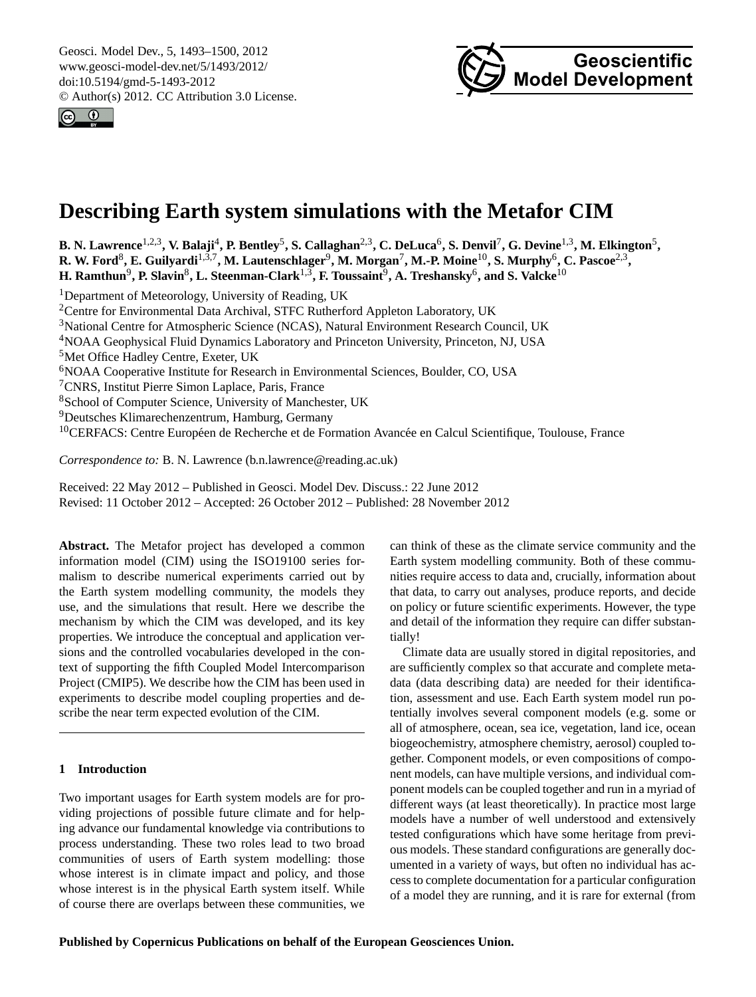<span id="page-0-0"></span>Geosci. Model Dev., 5, 1493–1500, 2012 www.geosci-model-dev.net/5/1493/2012/ doi:10.5194/gmd-5-1493-2012 © Author(s) 2012. CC Attribution 3.0 License.





# **Describing Earth system simulations with the Metafor CIM**

**B. N. Lawrence**1,2,3**, V. Balaji**<sup>4</sup> **, P. Bentley**<sup>5</sup> **, S. Callaghan**2,3**, C. DeLuca**<sup>6</sup> **, S. Denvil**<sup>7</sup> **, G. Devine**1,3**, M. Elkington**<sup>5</sup> **,**  ${\bf R.\,W.\, Ford}^8,$   ${\bf E.\,Guilyardi}^{1,3,7},$   ${\bf M.\,Lautenschlager}^9,$   ${\bf M.\,Morgan}^7,$   ${\bf M.-P.\,Moine^{10}},$   ${\bf S.\,Murphy}^6,$   ${\bf C.\,Pascoe^{2,3}},$  ${\bf H.~Ramthun}^9,$   ${\bf P.~Slavin}^8,$   ${\bf L.~Steenman-Clark}^{1,3},$   ${\bf F.~Toussaint}^9,$   ${\bf A.~Treshansky}^6,$  and  ${\bf S.~Valcke}^{10}$ <sup>1</sup>Department of Meteorology, University of Reading, UK <sup>2</sup>Centre for Environmental Data Archival, STFC Rutherford Appleton Laboratory, UK <sup>3</sup>National Centre for Atmospheric Science (NCAS), Natural Environment Research Council, UK <sup>4</sup>NOAA Geophysical Fluid Dynamics Laboratory and Princeton University, Princeton, NJ, USA <sup>5</sup>Met Office Hadley Centre, Exeter, UK <sup>6</sup>NOAA Cooperative Institute for Research in Environmental Sciences, Boulder, CO, USA

<sup>7</sup>CNRS, Institut Pierre Simon Laplace, Paris, France

<sup>8</sup>School of Computer Science, University of Manchester, UK

<sup>9</sup>Deutsches Klimarechenzentrum, Hamburg, Germany

<sup>10</sup>CERFACS: Centre Européen de Recherche et de Formation Avancée en Calcul Scientifique, Toulouse, France

*Correspondence to:* B. N. Lawrence (b.n.lawrence@reading.ac.uk)

Received: 22 May 2012 – Published in Geosci. Model Dev. Discuss.: 22 June 2012 Revised: 11 October 2012 – Accepted: 26 October 2012 – Published: 28 November 2012

**Abstract.** The Metafor project has developed a common information model (CIM) using the ISO19100 series formalism to describe numerical experiments carried out by the Earth system modelling community, the models they use, and the simulations that result. Here we describe the mechanism by which the CIM was developed, and its key properties. We introduce the conceptual and application versions and the controlled vocabularies developed in the context of supporting the fifth Coupled Model Intercomparison Project (CMIP5). We describe how the CIM has been used in experiments to describe model coupling properties and describe the near term expected evolution of the CIM.

## **1 Introduction**

Two important usages for Earth system models are for providing projections of possible future climate and for helping advance our fundamental knowledge via contributions to process understanding. These two roles lead to two broad communities of users of Earth system modelling: those whose interest is in climate impact and policy, and those whose interest is in the physical Earth system itself. While of course there are overlaps between these communities, we can think of these as the climate service community and the Earth system modelling community. Both of these communities require access to data and, crucially, information about that data, to carry out analyses, produce reports, and decide on policy or future scientific experiments. However, the type and detail of the information they require can differ substantially!

Climate data are usually stored in digital repositories, and are sufficiently complex so that accurate and complete metadata (data describing data) are needed for their identification, assessment and use. Each Earth system model run potentially involves several component models (e.g. some or all of atmosphere, ocean, sea ice, vegetation, land ice, ocean biogeochemistry, atmosphere chemistry, aerosol) coupled together. Component models, or even compositions of component models, can have multiple versions, and individual component models can be coupled together and run in a myriad of different ways (at least theoretically). In practice most large models have a number of well understood and extensively tested configurations which have some heritage from previous models. These standard configurations are generally documented in a variety of ways, but often no individual has access to complete documentation for a particular configuration of a model they are running, and it is rare for external (from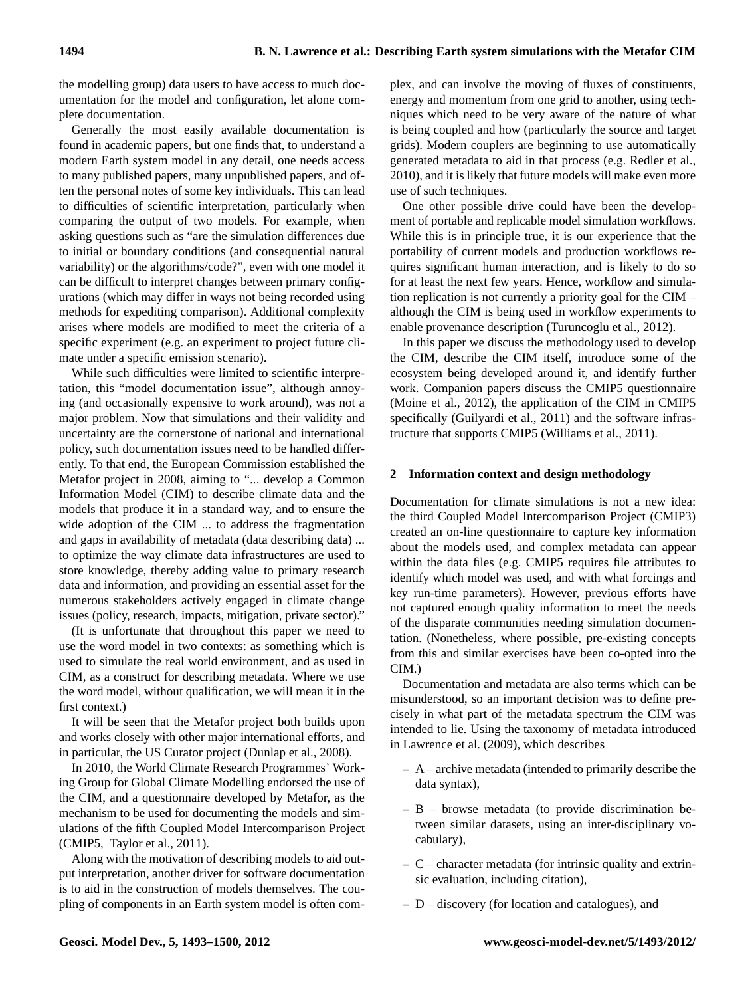the modelling group) data users to have access to much documentation for the model and configuration, let alone complete documentation.

Generally the most easily available documentation is found in academic papers, but one finds that, to understand a modern Earth system model in any detail, one needs access to many published papers, many unpublished papers, and often the personal notes of some key individuals. This can lead to difficulties of scientific interpretation, particularly when comparing the output of two models. For example, when asking questions such as "are the simulation differences due to initial or boundary conditions (and consequential natural variability) or the algorithms/code?", even with one model it can be difficult to interpret changes between primary configurations (which may differ in ways not being recorded using methods for expediting comparison). Additional complexity arises where models are modified to meet the criteria of a specific experiment (e.g. an experiment to project future climate under a specific emission scenario).

While such difficulties were limited to scientific interpretation, this "model documentation issue", although annoying (and occasionally expensive to work around), was not a major problem. Now that simulations and their validity and uncertainty are the cornerstone of national and international policy, such documentation issues need to be handled differently. To that end, the European Commission established the Metafor project in 2008, aiming to "... develop a Common Information Model (CIM) to describe climate data and the models that produce it in a standard way, and to ensure the wide adoption of the CIM ... to address the fragmentation and gaps in availability of metadata (data describing data) ... to optimize the way climate data infrastructures are used to store knowledge, thereby adding value to primary research data and information, and providing an essential asset for the numerous stakeholders actively engaged in climate change issues (policy, research, impacts, mitigation, private sector)."

(It is unfortunate that throughout this paper we need to use the word model in two contexts: as something which is used to simulate the real world environment, and as used in CIM, as a construct for describing metadata. Where we use the word model, without qualification, we will mean it in the first context.)

It will be seen that the Metafor project both builds upon and works closely with other major international efforts, and in particular, the US Curator project [\(Dunlap et al.,](#page-7-0) [2008\)](#page-7-0).

In 2010, the World Climate Research Programmes' Working Group for Global Climate Modelling endorsed the use of the CIM, and a questionnaire developed by Metafor, as the mechanism to be used for documenting the models and simulations of the fifth Coupled Model Intercomparison Project (CMIP5, [Taylor et al.,](#page-7-1) [2011\)](#page-7-1).

Along with the motivation of describing models to aid output interpretation, another driver for software documentation is to aid in the construction of models themselves. The coupling of components in an Earth system model is often complex, and can involve the moving of fluxes of constituents, energy and momentum from one grid to another, using techniques which need to be very aware of the nature of what is being coupled and how (particularly the source and target grids). Modern couplers are beginning to use automatically generated metadata to aid in that process (e.g. [Redler et al.,](#page-7-2) [2010\)](#page-7-2), and it is likely that future models will make even more use of such techniques.

One other possible drive could have been the development of portable and replicable model simulation workflows. While this is in principle true, it is our experience that the portability of current models and production workflows requires significant human interaction, and is likely to do so for at least the next few years. Hence, workflow and simulation replication is not currently a priority goal for the CIM – although the CIM is being used in workflow experiments to enable provenance description [\(Turuncoglu et al.,](#page-7-3) [2012\)](#page-7-3).

In this paper we discuss the methodology used to develop the CIM, describe the CIM itself, introduce some of the ecosystem being developed around it, and identify further work. Companion papers discuss the CMIP5 questionnaire [\(Moine et al.,](#page-7-4) [2012\)](#page-7-4), the application of the CIM in CMIP5 specifically [\(Guilyardi et al.,](#page-7-5) [2011\)](#page-7-5) and the software infrastructure that supports CMIP5 [\(Williams et al.,](#page-7-6) [2011\)](#page-7-6).

## **2 Information context and design methodology**

Documentation for climate simulations is not a new idea: the third Coupled Model Intercomparison Project (CMIP3) created an on-line questionnaire to capture key information about the models used, and complex metadata can appear within the data files (e.g. CMIP5 requires file attributes to identify which model was used, and with what forcings and key run-time parameters). However, previous efforts have not captured enough quality information to meet the needs of the disparate communities needing simulation documentation. (Nonetheless, where possible, pre-existing concepts from this and similar exercises have been co-opted into the CIM.)

Documentation and metadata are also terms which can be misunderstood, so an important decision was to define precisely in what part of the metadata spectrum the CIM was intended to lie. Using the taxonomy of metadata introduced in [Lawrence et al.](#page-7-7) [\(2009\)](#page-7-7), which describes

- **–** A archive metadata (intended to primarily describe the data syntax),
- **–** B browse metadata (to provide discrimination between similar datasets, using an inter-disciplinary vocabulary),
- **–** C character metadata (for intrinsic quality and extrinsic evaluation, including citation),
- **–** D discovery (for location and catalogues), and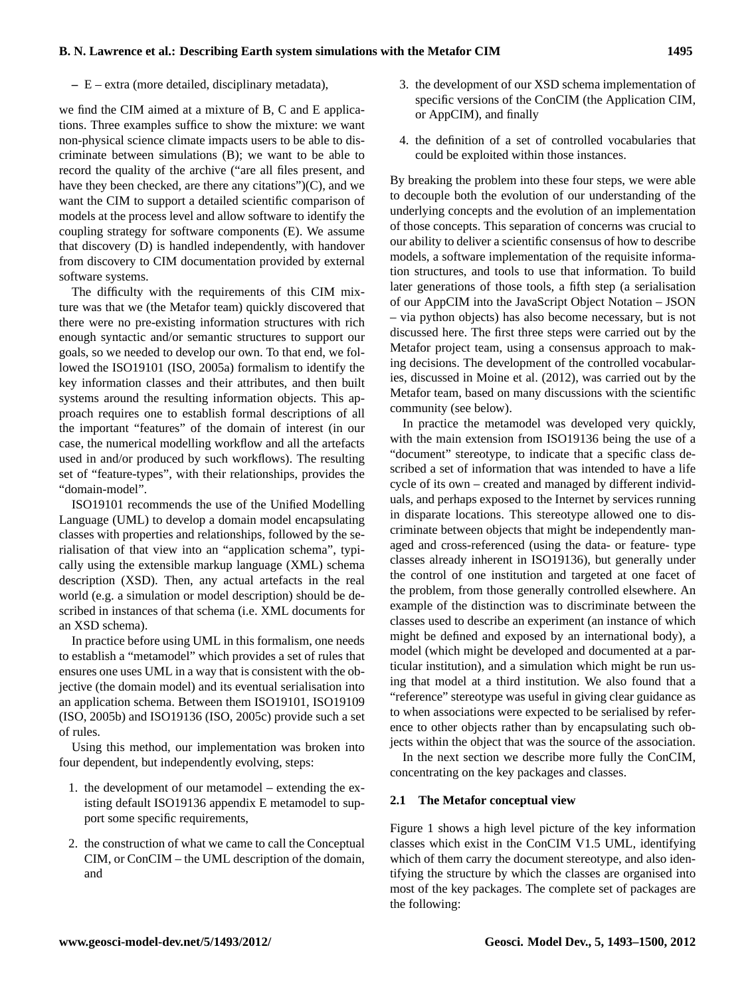## **–** E – extra (more detailed, disciplinary metadata),

we find the CIM aimed at a mixture of B, C and E applications. Three examples suffice to show the mixture: we want non-physical science climate impacts users to be able to discriminate between simulations (B); we want to be able to record the quality of the archive ("are all files present, and have they been checked, are there any citations" $(C)$ , and we want the CIM to support a detailed scientific comparison of models at the process level and allow software to identify the coupling strategy for software components (E). We assume that discovery (D) is handled independently, with handover from discovery to CIM documentation provided by external software systems.

The difficulty with the requirements of this CIM mixture was that we (the Metafor team) quickly discovered that there were no pre-existing information structures with rich enough syntactic and/or semantic structures to support our goals, so we needed to develop our own. To that end, we followed the ISO19101 [\(ISO,](#page-7-8) [2005a\)](#page-7-8) formalism to identify the key information classes and their attributes, and then built systems around the resulting information objects. This approach requires one to establish formal descriptions of all the important "features" of the domain of interest (in our case, the numerical modelling workflow and all the artefacts used in and/or produced by such workflows). The resulting set of "feature-types", with their relationships, provides the "domain-model".

ISO19101 recommends the use of the Unified Modelling Language (UML) to develop a domain model encapsulating classes with properties and relationships, followed by the serialisation of that view into an "application schema", typically using the extensible markup language (XML) schema description (XSD). Then, any actual artefacts in the real world (e.g. a simulation or model description) should be described in instances of that schema (i.e. XML documents for an XSD schema).

In practice before using UML in this formalism, one needs to establish a "metamodel" which provides a set of rules that ensures one uses UML in a way that is consistent with the objective (the domain model) and its eventual serialisation into an application schema. Between them ISO19101, ISO19109 [\(ISO,](#page-7-9) [2005b\)](#page-7-9) and ISO19136 [\(ISO,](#page-7-10) [2005c\)](#page-7-10) provide such a set of rules.

Using this method, our implementation was broken into four dependent, but independently evolving, steps:

- 1. the development of our metamodel extending the existing default ISO19136 appendix E metamodel to support some specific requirements,
- 2. the construction of what we came to call the Conceptual CIM, or ConCIM – the UML description of the domain, and
- 3. the development of our XSD schema implementation of specific versions of the ConCIM (the Application CIM, or AppCIM), and finally
- 4. the definition of a set of controlled vocabularies that could be exploited within those instances.

By breaking the problem into these four steps, we were able to decouple both the evolution of our understanding of the underlying concepts and the evolution of an implementation of those concepts. This separation of concerns was crucial to our ability to deliver a scientific consensus of how to describe models, a software implementation of the requisite information structures, and tools to use that information. To build later generations of those tools, a fifth step (a serialisation of our AppCIM into the JavaScript Object Notation – JSON – via python objects) has also become necessary, but is not discussed here. The first three steps were carried out by the Metafor project team, using a consensus approach to making decisions. The development of the controlled vocabularies, discussed in [Moine et al.](#page-7-4) [\(2012\)](#page-7-4), was carried out by the Metafor team, based on many discussions with the scientific community (see below).

In practice the metamodel was developed very quickly, with the main extension from ISO19136 being the use of a "document" stereotype, to indicate that a specific class described a set of information that was intended to have a life cycle of its own – created and managed by different individuals, and perhaps exposed to the Internet by services running in disparate locations. This stereotype allowed one to discriminate between objects that might be independently managed and cross-referenced (using the data- or feature- type classes already inherent in ISO19136), but generally under the control of one institution and targeted at one facet of the problem, from those generally controlled elsewhere. An example of the distinction was to discriminate between the classes used to describe an experiment (an instance of which might be defined and exposed by an international body), a model (which might be developed and documented at a particular institution), and a simulation which might be run using that model at a third institution. We also found that a "reference" stereotype was useful in giving clear guidance as to when associations were expected to be serialised by reference to other objects rather than by encapsulating such objects within the object that was the source of the association.

In the next section we describe more fully the ConCIM, concentrating on the key packages and classes.

## **2.1 The Metafor conceptual view**

Figure [1](#page-3-0) shows a high level picture of the key information classes which exist in the ConCIM V1.5 UML, identifying which of them carry the document stereotype, and also identifying the structure by which the classes are organised into most of the key packages. The complete set of packages are the following: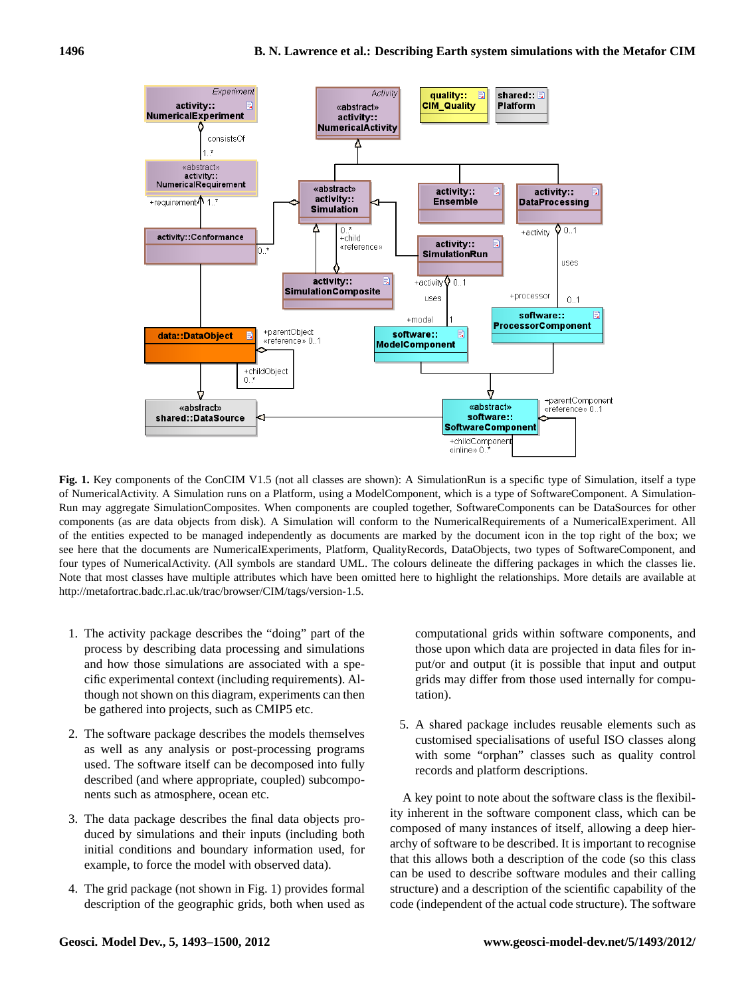

<span id="page-3-0"></span>**Fig. 1.** Key components of the ConCIM V1.5 (not all classes are shown): A SimulationRun is a specific type of Simulation, itself a type of NumericalActivity. A Simulation runs on a Platform, using a ModelComponent, which is a type of SoftwareComponent. A Simulation-Run may aggregate SimulationComposites. When components are coupled together, SoftwareComponents can be DataSources for other components (as are data objects from disk). A Simulation will conform to the NumericalRequirements of a NumericalExperiment. All of the entities expected to be managed independently as documents are marked by the document icon in the top right of the box; we see here that the documents are NumericalExperiments, Platform, QualityRecords, DataObjects, two types of SoftwareComponent, and four types of NumericalActivity. (All symbols are standard UML. The colours delineate the differing packages in which the classes lie. Note that most classes have multiple attributes which have been omitted here to highlight the relationships. More details are available at [http://metafortrac.badc.rl.ac.uk/trac/browser/CIM/tags/version-1.5.](http://metafortrac.badc.rl.ac.uk/trac/browser/CIM/tags/version-1.5)

- 1. The activity package describes the "doing" part of the process by describing data processing and simulations and how those simulations are associated with a specific experimental context (including requirements). Although not shown on this diagram, experiments can then be gathered into projects, such as CMIP5 etc.
- 2. The software package describes the models themselves as well as any analysis or post-processing programs used. The software itself can be decomposed into fully described (and where appropriate, coupled) subcomponents such as atmosphere, ocean etc.
- 3. The data package describes the final data objects produced by simulations and their inputs (including both initial conditions and boundary information used, for example, to force the model with observed data).
- 4. The grid package (not shown in Fig. 1) provides formal description of the geographic grids, both when used as

computational grids within software components, and those upon which data are projected in data files for input/or and output (it is possible that input and output grids may differ from those used internally for computation).

5. A shared package includes reusable elements such as customised specialisations of useful ISO classes along with some "orphan" classes such as quality control records and platform descriptions.

A key point to note about the software class is the flexibility inherent in the software component class, which can be composed of many instances of itself, allowing a deep hierarchy of software to be described. It is important to recognise that this allows both a description of the code (so this class can be used to describe software modules and their calling structure) and a description of the scientific capability of the code (independent of the actual code structure). The software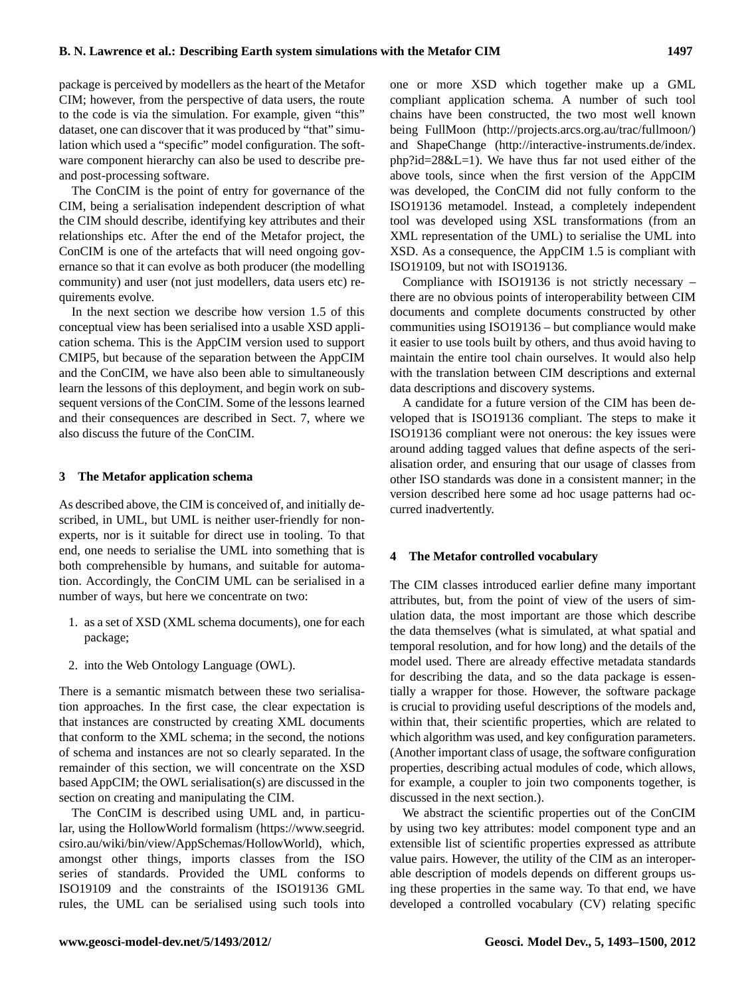package is perceived by modellers as the heart of the Metafor CIM; however, from the perspective of data users, the route to the code is via the simulation. For example, given "this" dataset, one can discover that it was produced by "that" simulation which used a "specific" model configuration. The software component hierarchy can also be used to describe preand post-processing software.

The ConCIM is the point of entry for governance of the CIM, being a serialisation independent description of what the CIM should describe, identifying key attributes and their relationships etc. After the end of the Metafor project, the ConCIM is one of the artefacts that will need ongoing governance so that it can evolve as both producer (the modelling community) and user (not just modellers, data users etc) requirements evolve.

In the next section we describe how version 1.5 of this conceptual view has been serialised into a usable XSD application schema. This is the AppCIM version used to support CMIP5, but because of the separation between the AppCIM and the ConCIM, we have also been able to simultaneously learn the lessons of this deployment, and begin work on subsequent versions of the ConCIM. Some of the lessons learned and their consequences are described in Sect. [7,](#page-6-0) where we also discuss the future of the ConCIM.

### **3 The Metafor application schema**

As described above, the CIM is conceived of, and initially described, in UML, but UML is neither user-friendly for nonexperts, nor is it suitable for direct use in tooling. To that end, one needs to serialise the UML into something that is both comprehensible by humans, and suitable for automation. Accordingly, the ConCIM UML can be serialised in a number of ways, but here we concentrate on two:

- 1. as a set of XSD (XML schema documents), one for each package;
- 2. into the Web Ontology Language (OWL).

There is a semantic mismatch between these two serialisation approaches. In the first case, the clear expectation is that instances are constructed by creating XML documents that conform to the XML schema; in the second, the notions of schema and instances are not so clearly separated. In the remainder of this section, we will concentrate on the XSD based AppCIM; the OWL serialisation(s) are discussed in the section on creating and manipulating the CIM.

The ConCIM is described using UML and, in particular, using the HollowWorld formalism [\(https://www.seegrid.](https://www.seegrid.csiro.au/wiki/bin/view/AppSchemas/HollowWorld) [csiro.au/wiki/bin/view/AppSchemas/HollowWorld\)](https://www.seegrid.csiro.au/wiki/bin/view/AppSchemas/HollowWorld), which, amongst other things, imports classes from the ISO series of standards. Provided the UML conforms to ISO19109 and the constraints of the ISO19136 GML rules, the UML can be serialised using such tools into one or more XSD which together make up a GML compliant application schema. A number of such tool chains have been constructed, the two most well known being FullMoon [\(http://projects.arcs.org.au/trac/fullmoon/\)](http://projects.arcs.org.au/trac/fullmoon/) and ShapeChange [\(http://interactive-instruments.de/index.](http://interactive-instruments.de/index.php?id=28&L=1) [php?id=28&L=1\)](http://interactive-instruments.de/index.php?id=28&L=1). We have thus far not used either of the above tools, since when the first version of the AppCIM was developed, the ConCIM did not fully conform to the ISO19136 metamodel. Instead, a completely independent tool was developed using XSL transformations (from an XML representation of the UML) to serialise the UML into XSD. As a consequence, the AppCIM 1.5 is compliant with ISO19109, but not with ISO19136.

Compliance with ISO19136 is not strictly necessary – there are no obvious points of interoperability between CIM documents and complete documents constructed by other communities using ISO19136 – but compliance would make it easier to use tools built by others, and thus avoid having to maintain the entire tool chain ourselves. It would also help with the translation between CIM descriptions and external data descriptions and discovery systems.

A candidate for a future version of the CIM has been developed that is ISO19136 compliant. The steps to make it ISO19136 compliant were not onerous: the key issues were around adding tagged values that define aspects of the serialisation order, and ensuring that our usage of classes from other ISO standards was done in a consistent manner; in the version described here some ad hoc usage patterns had occurred inadvertently.

#### **4 The Metafor controlled vocabulary**

The CIM classes introduced earlier define many important attributes, but, from the point of view of the users of simulation data, the most important are those which describe the data themselves (what is simulated, at what spatial and temporal resolution, and for how long) and the details of the model used. There are already effective metadata standards for describing the data, and so the data package is essentially a wrapper for those. However, the software package is crucial to providing useful descriptions of the models and, within that, their scientific properties, which are related to which algorithm was used, and key configuration parameters. (Another important class of usage, the software configuration properties, describing actual modules of code, which allows, for example, a coupler to join two components together, is discussed in the next section.).

We abstract the scientific properties out of the ConCIM by using two key attributes: model component type and an extensible list of scientific properties expressed as attribute value pairs. However, the utility of the CIM as an interoperable description of models depends on different groups using these properties in the same way. To that end, we have developed a controlled vocabulary (CV) relating specific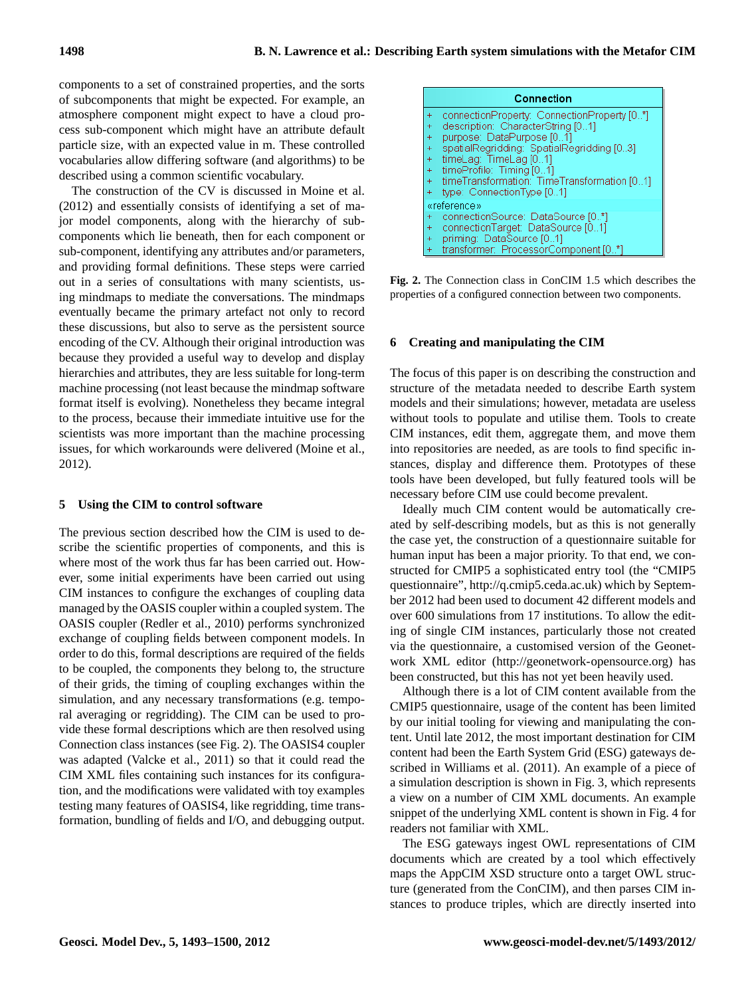components to a set of constrained properties, and the sorts of subcomponents that might be expected. For example, an atmosphere component might expect to have a cloud process sub-component which might have an attribute default particle size, with an expected value in m. These controlled vocabularies allow differing software (and algorithms) to be described using a common scientific vocabulary.

The construction of the CV is discussed in [Moine et al.](#page-7-4) [\(2012\)](#page-7-4) and essentially consists of identifying a set of major model components, along with the hierarchy of subcomponents which lie beneath, then for each component or sub-component, identifying any attributes and/or parameters, and providing formal definitions. These steps were carried out in a series of consultations with many scientists, using mindmaps to mediate the conversations. The mindmaps eventually became the primary artefact not only to record these discussions, but also to serve as the persistent source encoding of the CV. Although their original introduction was because they provided a useful way to develop and display hierarchies and attributes, they are less suitable for long-term machine processing (not least because the mindmap software format itself is evolving). Nonetheless they became integral to the process, because their immediate intuitive use for the scientists was more important than the machine processing issues, for which workarounds were delivered (Moine et al., 2012).

## **5 Using the CIM to control software**

The previous section described how the CIM is used to describe the scientific properties of components, and this is where most of the work thus far has been carried out. However, some initial experiments have been carried out using CIM instances to configure the exchanges of coupling data managed by the OASIS coupler within a coupled system. The OASIS coupler [\(Redler et al.,](#page-7-2) [2010\)](#page-7-2) performs synchronized exchange of coupling fields between component models. In order to do this, formal descriptions are required of the fields to be coupled, the components they belong to, the structure of their grids, the timing of coupling exchanges within the simulation, and any necessary transformations (e.g. temporal averaging or regridding). The CIM can be used to provide these formal descriptions which are then resolved using Connection class instances (see Fig. [2\)](#page-5-0). The OASIS4 coupler was adapted [\(Valcke et al.,](#page-7-11) [2011\)](#page-7-11) so that it could read the CIM XML files containing such instances for its configuration, and the modifications were validated with toy examples testing many features of OASIS4, like regridding, time transformation, bundling of fields and I/O, and debugging output.



<span id="page-5-0"></span>**Fig. 2.** The Connection class in ConCIM 1.5 which describes the properties of a configured connection between two components.

## **6 Creating and manipulating the CIM**

The focus of this paper is on describing the construction and structure of the metadata needed to describe Earth system models and their simulations; however, metadata are useless without tools to populate and utilise them. Tools to create CIM instances, edit them, aggregate them, and move them into repositories are needed, as are tools to find specific instances, display and difference them. Prototypes of these tools have been developed, but fully featured tools will be necessary before CIM use could become prevalent.

Ideally much CIM content would be automatically created by self-describing models, but as this is not generally the case yet, the construction of a questionnaire suitable for human input has been a major priority. To that end, we constructed for CMIP5 a sophisticated entry tool (the "CMIP5 questionnaire", [http://q.cmip5.ceda.ac.uk\)](http://q.cmip5.ceda.ac.uk) which by September 2012 had been used to document 42 different models and over 600 simulations from 17 institutions. To allow the editing of single CIM instances, particularly those not created via the questionnaire, a customised version of the Geonetwork XML editor [\(http://geonetwork-opensource.org\)](http://geonetwork-opensource.org) has been constructed, but this has not yet been heavily used.

Although there is a lot of CIM content available from the CMIP5 questionnaire, usage of the content has been limited by our initial tooling for viewing and manipulating the content. Until late 2012, the most important destination for CIM content had been the Earth System Grid (ESG) gateways described in [Williams et al.](#page-7-6) [\(2011\)](#page-7-6). An example of a piece of a simulation description is shown in Fig. [3,](#page-6-1) which represents a view on a number of CIM XML documents. An example snippet of the underlying XML content is shown in Fig. [4](#page-6-2) for readers not familiar with XML.

The ESG gateways ingest OWL representations of CIM documents which are created by a tool which effectively maps the AppCIM XSD structure onto a target OWL structure (generated from the ConCIM), and then parses CIM instances to produce triples, which are directly inserted into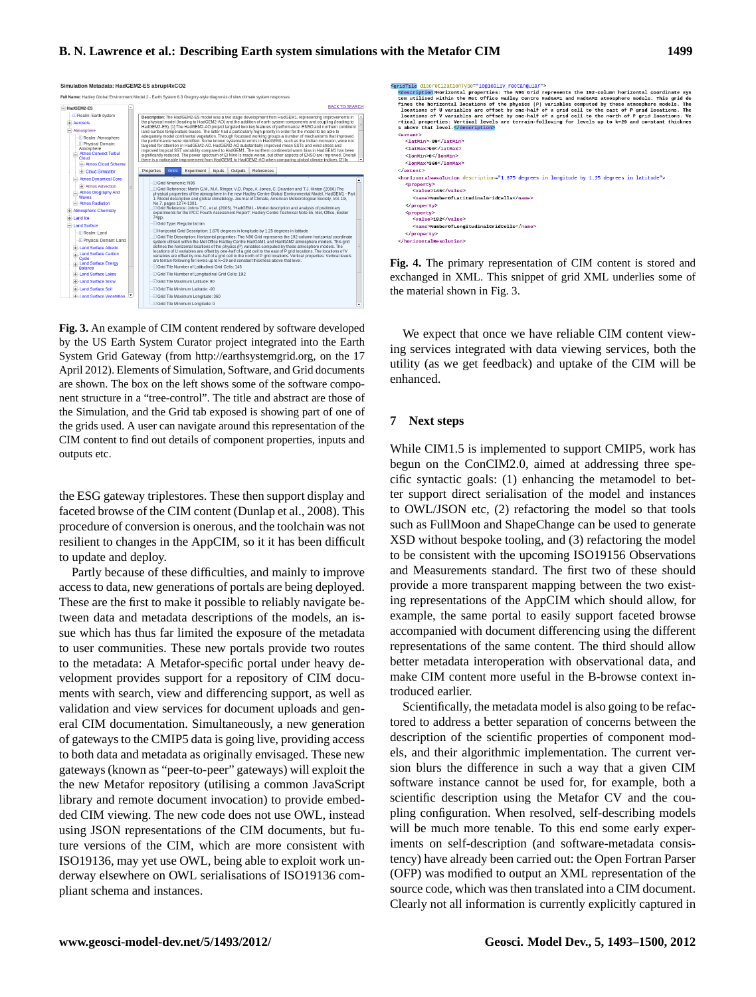#### Simulation Metadata: HadGEM2-ES abrunt4xCO2

Full Name: Clobal Em



<span id="page-6-1"></span>**Fig. 3.** An example of CIM content rendered by software developed by the US Earth System Curator project integrated into the Earth System Grid Gateway (from [http://earthsystemgrid.org,](http://earthsystemgrid.org) on the 17 April 2012). Elements of Simulation, Software, and Grid documents are shown. The box on the left shows some of the software component structure in a "tree-control". The title and abstract are those of the Simulation, and the Grid tab exposed is showing part of one of the grids used. A user can navigate around this representation of the CIM content to find out details of component properties, inputs and outputs etc.

the ESG gateway triplestores. These then support display and faceted browse of the CIM content [\(Dunlap et al.,](#page-7-0) [2008\)](#page-7-0). This procedure of conversion is onerous, and the toolchain was not resilient to changes in the AppCIM, so it it has been difficult to update and deploy.

Partly because of these difficulties, and mainly to improve access to data, new generations of portals are being deployed. These are the first to make it possible to reliably navigate between data and metadata descriptions of the models, an issue which has thus far limited the exposure of the metadata to user communities. These new portals provide two routes to the metadata: A Metafor-specific portal under heavy development provides support for a repository of CIM documents with search, view and differencing support, as well as validation and view services for document uploads and general CIM documentation. Simultaneously, a new generation of gateways to the CMIP5 data is going live, providing access to both data and metadata as originally envisaged. These new gateways (known as "peer-to-peer" gateways) will exploit the the new Metafor repository (utilising a common JavaScript library and remote document invocation) to provide embedded CIM viewing. The new code does not use OWL, instead using JSON representations of the CIM documents, but future versions of the CIM, which are more consistent with ISO19136, may yet use OWL, being able to exploit work underway elsewhere on OWL serialisations of ISO19136 compliant schema and instances.



**Fig. 4.** The primary representation of CIM content is stored and exchanged in XML. This snippet of grid XML underlies some of the material shown in Fig. [3.](#page-6-1)

<span id="page-6-2"></span>We expect that once we have reliable CIM content viewing services integrated with data viewing services, both the utility (as we get feedback) and uptake of the CIM will be enhanced.

#### <span id="page-6-0"></span>**7 Next steps**

While CIM1.5 is implemented to support CMIP5, work has begun on the ConCIM2.0, aimed at addressing three specific syntactic goals: (1) enhancing the metamodel to better support direct serialisation of the model and instances to OWL/JSON etc, (2) refactoring the model so that tools such as FullMoon and ShapeChange can be used to generate XSD without bespoke tooling, and (3) refactoring the model to be consistent with the upcoming ISO19156 Observations and Measurements standard. The first two of these should provide a more transparent mapping between the two existing representations of the AppCIM which should allow, for example, the same portal to easily support faceted browse accompanied with document differencing using the different representations of the same content. The third should allow better metadata interoperation with observational data, and make CIM content more useful in the B-browse context introduced earlier.

Scientifically, the metadata model is also going to be refactored to address a better separation of concerns between the description of the scientific properties of component models, and their algorithmic implementation. The current version blurs the difference in such a way that a given CIM software instance cannot be used for, for example, both a scientific description using the Metafor CV and the coupling configuration. When resolved, self-describing models will be much more tenable. To this end some early experiments on self-description (and software-metadata consistency) have already been carried out: the Open Fortran Parser (OFP) was modified to output an XML representation of the source code, which was then translated into a CIM document. Clearly not all information is currently explicitly captured in